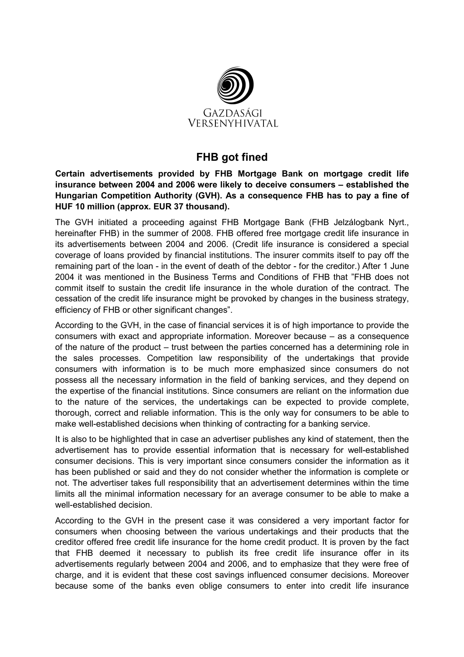

## FHB got fined

Certain advertisements provided by FHB Mortgage Bank on mortgage credit life insurance between 2004 and 2006 were likely to deceive consumers – established the Hungarian Competition Authority (GVH). As a consequence FHB has to pay a fine of HUF 10 million (approx. EUR 37 thousand).

The GVH initiated a proceeding against FHB Mortgage Bank (FHB Jelzálogbank Nyrt., hereinafter FHB) in the summer of 2008. FHB offered free mortgage credit life insurance in its advertisements between 2004 and 2006. (Credit life insurance is considered a special coverage of loans provided by financial institutions. The insurer commits itself to pay off the remaining part of the loan - in the event of death of the debtor - for the creditor.) After 1 June 2004 it was mentioned in the Business Terms and Conditions of FHB that "FHB does not commit itself to sustain the credit life insurance in the whole duration of the contract. The cessation of the credit life insurance might be provoked by changes in the business strategy, efficiency of FHB or other significant changes".

According to the GVH, in the case of financial services it is of high importance to provide the consumers with exact and appropriate information. Moreover because – as a consequence of the nature of the product – trust between the parties concerned has a determining role in the sales processes. Competition law responsibility of the undertakings that provide consumers with information is to be much more emphasized since consumers do not possess all the necessary information in the field of banking services, and they depend on the expertise of the financial institutions. Since consumers are reliant on the information due to the nature of the services, the undertakings can be expected to provide complete, thorough, correct and reliable information. This is the only way for consumers to be able to make well-established decisions when thinking of contracting for a banking service.

It is also to be highlighted that in case an advertiser publishes any kind of statement, then the advertisement has to provide essential information that is necessary for well-established consumer decisions. This is very important since consumers consider the information as it has been published or said and they do not consider whether the information is complete or not. The advertiser takes full responsibility that an advertisement determines within the time limits all the minimal information necessary for an average consumer to be able to make a well-established decision

According to the GVH in the present case it was considered a very important factor for consumers when choosing between the various undertakings and their products that the creditor offered free credit life insurance for the home credit product. It is proven by the fact that FHB deemed it necessary to publish its free credit life insurance offer in its advertisements regularly between 2004 and 2006, and to emphasize that they were free of charge, and it is evident that these cost savings influenced consumer decisions. Moreover because some of the banks even oblige consumers to enter into credit life insurance